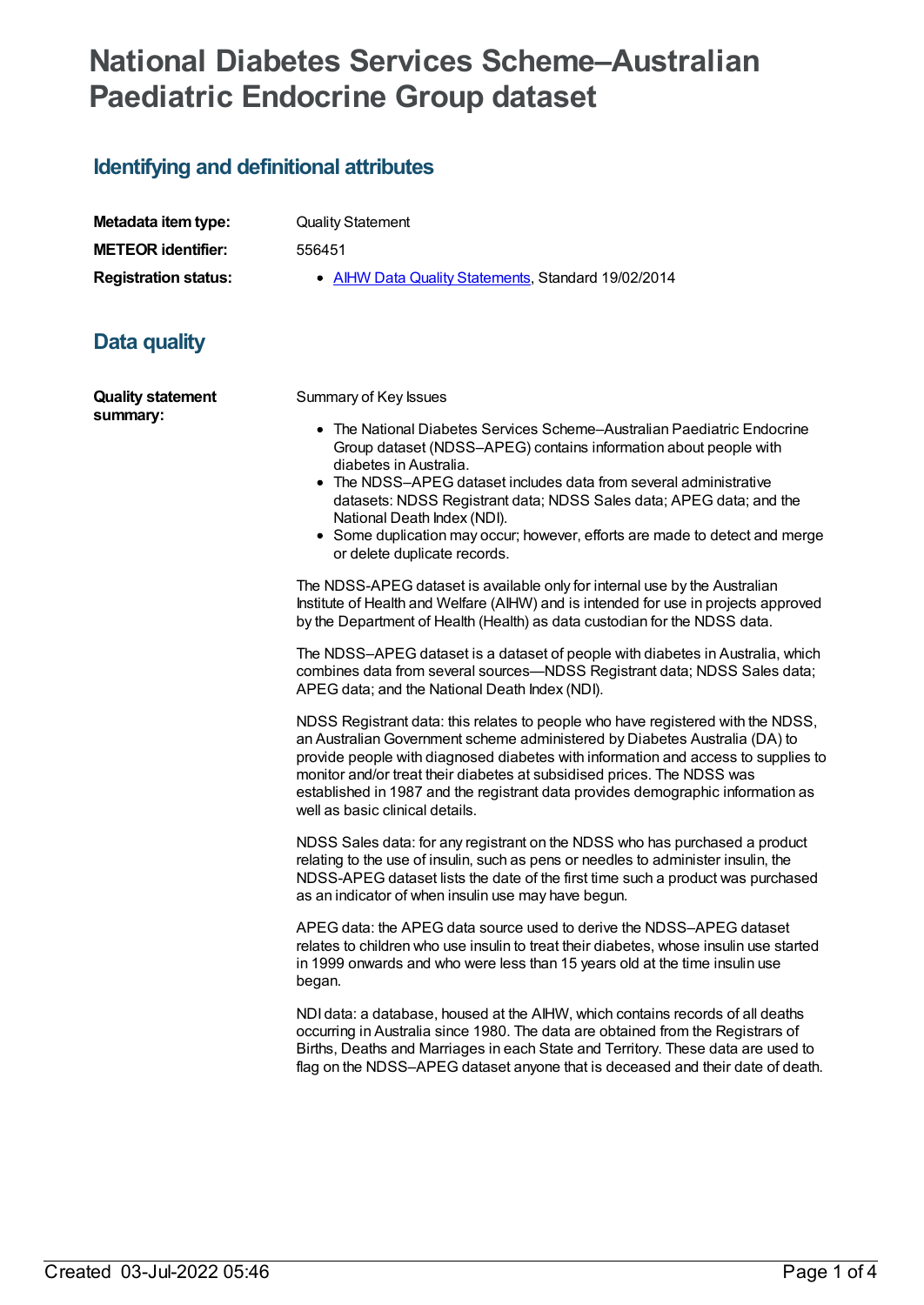## **National Diabetes Services Scheme–Australian Paediatric Endocrine Group dataset**

## **Identifying and definitional attributes**

| Metadata item type:         |
|-----------------------------|
| <b>METEOR identifier:</b>   |
| <b>Registration status:</b> |

**Quality Statement** 

**METEOR identifier:** 556451

**AIHW Data Quality [Statements](https://meteor.aihw.gov.au/RegistrationAuthority/5), Standard 19/02/2014** 

## **Data quality**

**Quality statement summary:**

Summary of Key Issues

- The National Diabetes Services Scheme–Australian Paediatric Endocrine Group dataset (NDSS–APEG) contains information about people with diabetes in Australia.
- The NDSS–APEG dataset includes data from several administrative datasets: NDSS Registrant data; NDSS Sales data; APEG data; and the National Death Index (NDI).
- Some duplication may occur; however, efforts are made to detect and merge or delete duplicate records.

The NDSS-APEG dataset is available only for internal use by the Australian Institute of Health and Welfare (AIHW) and is intended for use in projects approved by the Department of Health (Health) as data custodian for the NDSS data.

The NDSS–APEG dataset is a dataset of people with diabetes in Australia, which combines data from several sources—NDSS Registrant data; NDSS Sales data; APEG data; and the National Death Index (NDI).

NDSS Registrant data: this relates to people who have registered with the NDSS, an AustralianGovernment scheme administered by Diabetes Australia (DA) to provide people with diagnosed diabetes with information and access to supplies to monitor and/or treat their diabetes at subsidised prices. The NDSS was established in 1987 and the registrant data provides demographic information as well as basic clinical details.

NDSS Sales data: for any registrant on the NDSS who has purchased a product relating to the use of insulin, such as pens or needles to administer insulin, the NDSS-APEG dataset lists the date of the first time such a product was purchased as an indicator of when insulin use may have begun.

APEG data: the APEG data source used to derive the NDSS–APEG dataset relates to children who use insulin to treat their diabetes, whose insulin use started in 1999 onwards and who were less than 15 years old at the time insulin use began.

NDI data: a database, housed at the AIHW, which contains records of all deaths occurring in Australia since 1980. The data are obtained from the Registrars of Births, Deaths and Marriages in each State and Territory. These data are used to flag on the NDSS–APEG dataset anyone that is deceased and their date of death.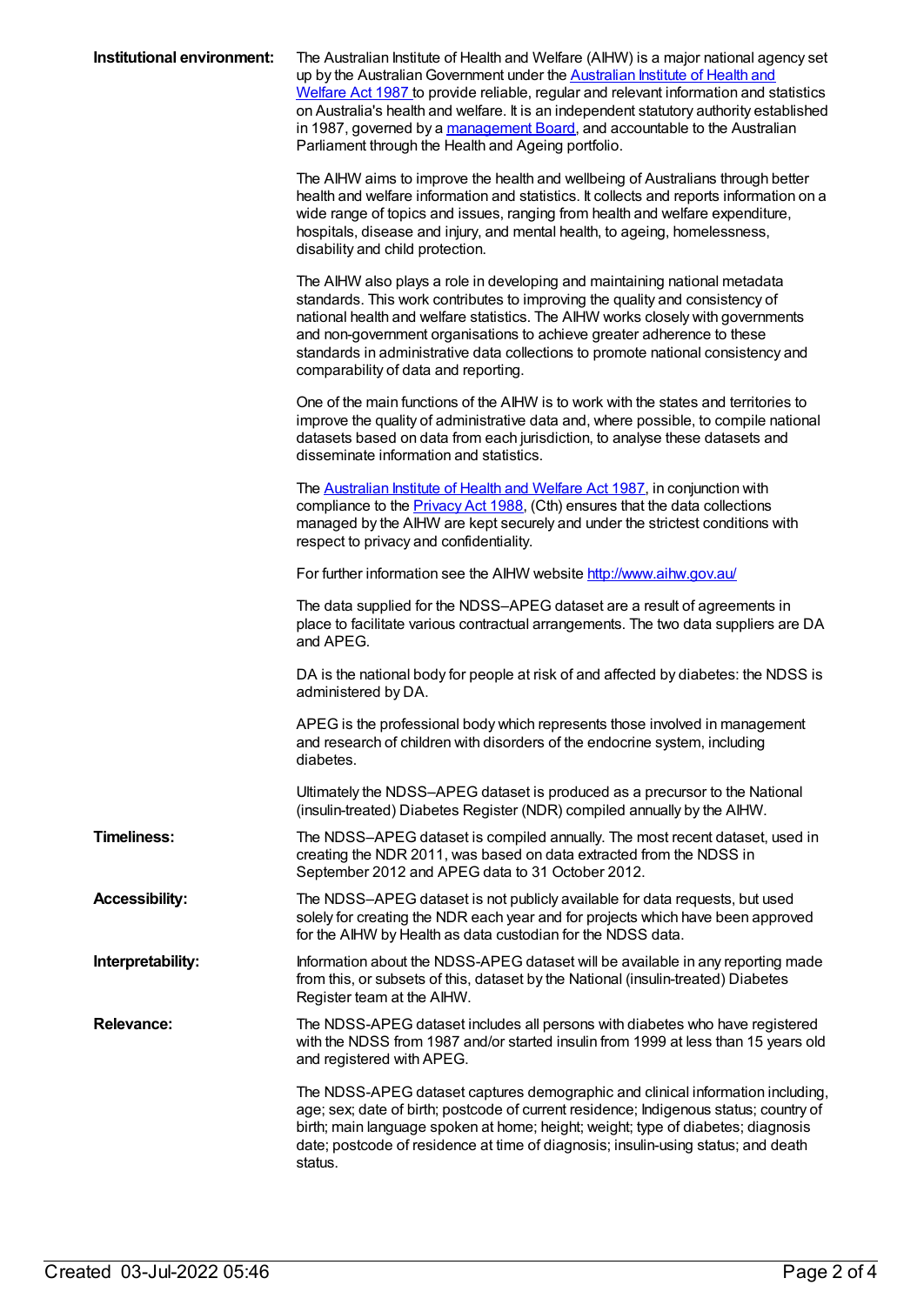| Institutional environment: | The Australian Institute of Health and Welfare (AIHW) is a major national agency set<br>up by the Australian Government under the Australian Institute of Health and<br>Welfare Act 1987 to provide reliable, regular and relevant information and statistics<br>on Australia's health and welfare. It is an independent statutory authority established<br>in 1987, governed by a management Board, and accountable to the Australian<br>Parliament through the Health and Ageing portfolio. |
|----------------------------|-----------------------------------------------------------------------------------------------------------------------------------------------------------------------------------------------------------------------------------------------------------------------------------------------------------------------------------------------------------------------------------------------------------------------------------------------------------------------------------------------|
|                            | The AIHW aims to improve the health and wellbeing of Australians through better<br>health and welfare information and statistics. It collects and reports information on a<br>wide range of topics and issues, ranging from health and welfare expenditure,<br>hospitals, disease and injury, and mental health, to ageing, homelessness,<br>disability and child protection.                                                                                                                 |
|                            | The AIHW also plays a role in developing and maintaining national metadata<br>standards. This work contributes to improving the quality and consistency of<br>national health and welfare statistics. The AIHW works closely with governments<br>and non-government organisations to achieve greater adherence to these<br>standards in administrative data collections to promote national consistency and<br>comparability of data and reporting.                                           |
|                            | One of the main functions of the AIHW is to work with the states and territories to<br>improve the quality of administrative data and, where possible, to compile national<br>datasets based on data from each jurisdiction, to analyse these datasets and<br>disseminate information and statistics.                                                                                                                                                                                         |
|                            | The <b>Australian Institute of Health and Welfare Act 1987</b> , in conjunction with<br>compliance to the <b>Privacy Act 1988</b> , (Cth) ensures that the data collections<br>managed by the AIHW are kept securely and under the strictest conditions with<br>respect to privacy and confidentiality.                                                                                                                                                                                       |
|                            | For further information see the AIHW website http://www.aihw.gov.au/                                                                                                                                                                                                                                                                                                                                                                                                                          |
|                            | The data supplied for the NDSS-APEG dataset are a result of agreements in<br>place to facilitate various contractual arrangements. The two data suppliers are DA<br>and APEG.                                                                                                                                                                                                                                                                                                                 |
|                            | DA is the national body for people at risk of and affected by diabetes: the NDSS is<br>administered by DA.                                                                                                                                                                                                                                                                                                                                                                                    |
|                            | APEG is the professional body which represents those involved in management<br>and research of children with disorders of the endocrine system, including<br>diabetes.                                                                                                                                                                                                                                                                                                                        |
|                            | Ultimately the NDSS-APEG dataset is produced as a precursor to the National<br>(insulin-treated) Diabetes Register (NDR) compiled annually by the AIHW.                                                                                                                                                                                                                                                                                                                                       |
| <b>Timeliness:</b>         | The NDSS-APEG dataset is compiled annually. The most recent dataset, used in<br>creating the NDR 2011, was based on data extracted from the NDSS in<br>September 2012 and APEG data to 31 October 2012.                                                                                                                                                                                                                                                                                       |
| <b>Accessibility:</b>      | The NDSS-APEG dataset is not publicly available for data requests, but used<br>solely for creating the NDR each year and for projects which have been approved<br>for the AIHW by Health as data custodian for the NDSS data.                                                                                                                                                                                                                                                                 |
| Interpretability:          | Information about the NDSS-APEG dataset will be available in any reporting made<br>from this, or subsets of this, dataset by the National (insulin-treated) Diabetes<br>Register team at the AIHW.                                                                                                                                                                                                                                                                                            |
| <b>Relevance:</b>          | The NDSS-APEG dataset includes all persons with diabetes who have registered<br>with the NDSS from 1987 and/or started insulin from 1999 at less than 15 years old<br>and registered with APEG.                                                                                                                                                                                                                                                                                               |
|                            | The NDSS-APEG dataset captures demographic and clinical information including,<br>age; sex; date of birth; postcode of current residence; Indigenous status; country of<br>birth; main language spoken at home; height; weight; type of diabetes; diagnosis<br>date; postcode of residence at time of diagnosis; insulin-using status; and death<br>status.                                                                                                                                   |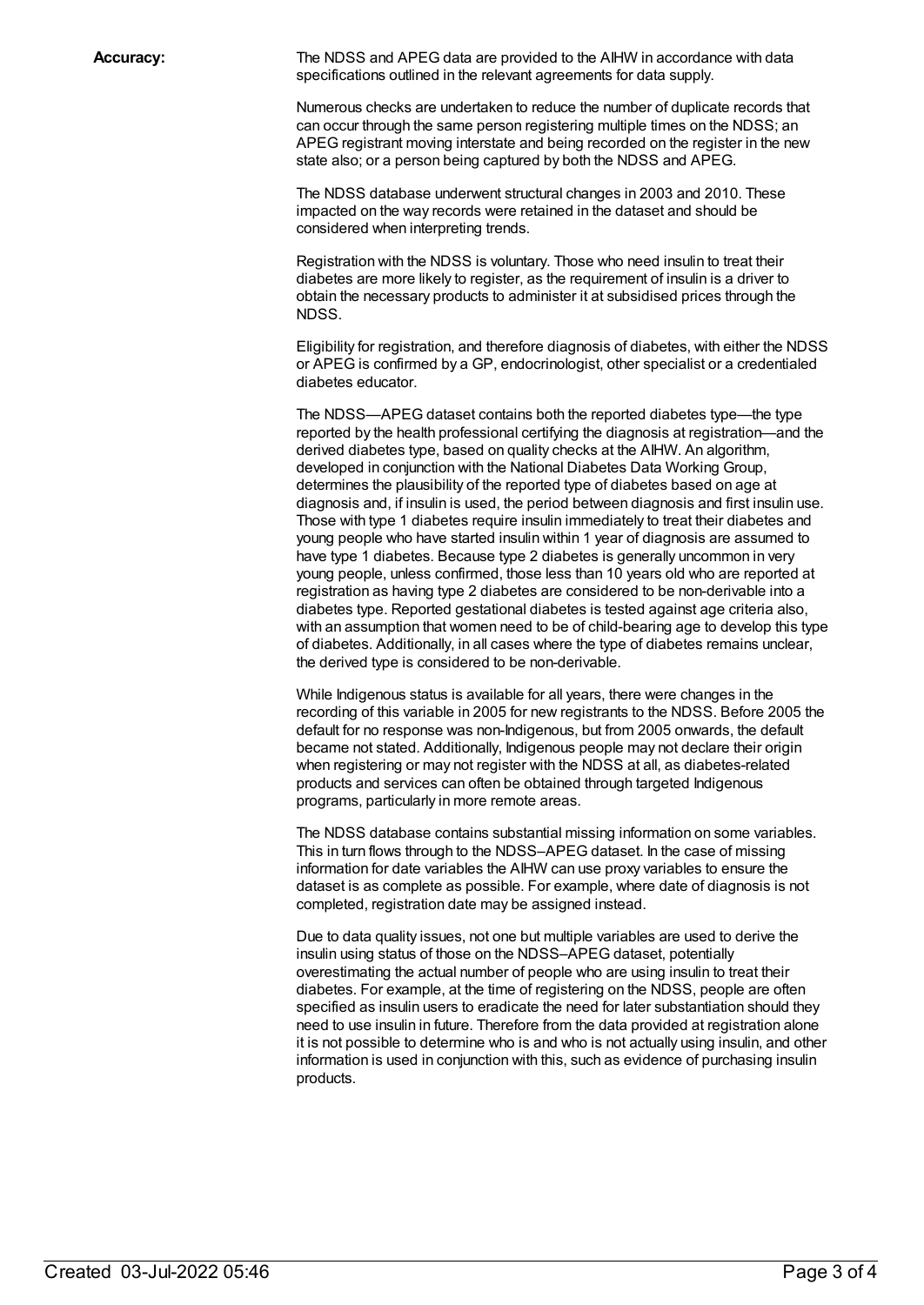**Accuracy:** The NDSS and APEG data are provided to the AIHW in accordance with data specifications outlined in the relevant agreements for data supply.

> Numerous checks are undertaken to reduce the number of duplicate records that can occur through the same person registering multiple times on the NDSS; an APEG registrant moving interstate and being recorded on the register in the new state also; or a person being captured by both the NDSS and APEG.

The NDSS database underwent structural changes in 2003 and 2010. These impacted on the way records were retained in the dataset and should be considered when interpreting trends.

Registration with the NDSS is voluntary. Those who need insulin to treat their diabetes are more likely to register, as the requirement of insulin is a driver to obtain the necessary products to administer it at subsidised prices through the NDSS.

Eligibility for registration, and therefore diagnosis of diabetes, with either the NDSS or APEG is confirmed by a GP, endocrinologist, other specialist or a credentialed diabetes educator.

The NDSS—APEG dataset contains both the reported diabetes type—the type reported by the health professional certifying the diagnosis at registration—and the derived diabetes type, based on quality checks at the AIHW. An algorithm, developed in conjunction with the National Diabetes Data Working Group, determines the plausibility of the reported type of diabetes based on age at diagnosis and, if insulin is used, the period between diagnosis and first insulin use. Those with type 1 diabetes require insulin immediately to treat their diabetes and young people who have started insulin within 1 year of diagnosis are assumed to have type 1 diabetes. Because type 2 diabetes is generally uncommon in very young people, unless confirmed, those less than 10 years old who are reported at registration as having type 2 diabetes are considered to be non-derivable into a diabetes type. Reported gestational diabetes is tested against age criteria also, with an assumption that women need to be of child-bearing age to develop this type of diabetes. Additionally, in all cases where the type of diabetes remains unclear, the derived type is considered to be non-derivable.

While Indigenous status is available for all years, there were changes in the recording of this variable in 2005 for new registrants to the NDSS. Before 2005 the default for no response was non-Indigenous, but from 2005 onwards, the default became not stated. Additionally, Indigenous people may not declare their origin when registering or may not register with the NDSS at all, as diabetes-related products and services can often be obtained through targeted Indigenous programs, particularly in more remote areas.

The NDSS database contains substantial missing information on some variables. This in turn flows through to the NDSS–APEG dataset. In the case of missing information for date variables the AIHW can use proxy variables to ensure the dataset is as complete as possible. For example, where date of diagnosis is not completed, registration date may be assigned instead.

Due to data quality issues, not one but multiple variables are used to derive the insulin using status of those on the NDSS–APEG dataset, potentially overestimating the actual number of people who are using insulin to treat their diabetes. For example, at the time of registering on the NDSS, people are often specified as insulin users to eradicate the need for later substantiation should they need to use insulin in future. Therefore from the data provided at registration alone it is not possible to determine who is and who is not actually using insulin, and other information is used in conjunction with this, such as evidence of purchasing insulin products.